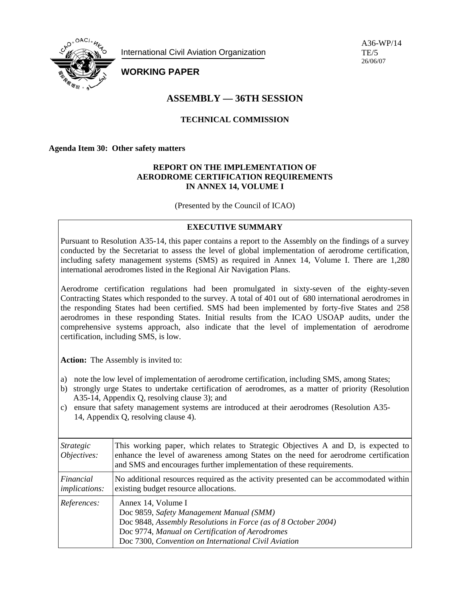

International Civil Aviation Organization

A36-WP/14  $TE/5$ 26/06/07

# **WORKING PAPER**

# **ASSEMBLY — 36TH SESSION**

# **TECHNICAL COMMISSION**

**Agenda Item 30: Other safety matters** 

### **REPORT ON THE IMPLEMENTATION OF AERODROME CERTIFICATION REQUIREMENTS IN ANNEX 14, VOLUME I**

(Presented by the Council of ICAO)

# **EXECUTIVE SUMMARY**

Pursuant to Resolution A35-14, this paper contains a report to the Assembly on the findings of a survey conducted by the Secretariat to assess the level of global implementation of aerodrome certification, including safety management systems (SMS) as required in Annex 14, Volume I. There are 1,280 international aerodromes listed in the Regional Air Navigation Plans.

Aerodrome certification regulations had been promulgated in sixty-seven of the eighty-seven Contracting States which responded to the survey. A total of 401 out of 680 international aerodromes in the responding States had been certified. SMS had been implemented by forty-five States and 258 aerodromes in these responding States. Initial results from the ICAO USOAP audits, under the comprehensive systems approach, also indicate that the level of implementation of aerodrome certification, including SMS, is low.

**Action:** The Assembly is invited to:

- a) note the low level of implementation of aerodrome certification, including SMS, among States;
- b) strongly urge States to undertake certification of aerodromes, as a matter of priority (Resolution A35-14, Appendix Q, resolving clause 3); and
- c) ensure that safety management systems are introduced at their aerodromes (Resolution A35- 14, Appendix Q, resolving clause 4).

| <i>Strategic</i><br>Objectives:   | This working paper, which relates to Strategic Objectives A and D, is expected to<br>enhance the level of awareness among States on the need for aerodrome certification<br>and SMS and encourages further implementation of these requirements. |
|-----------------------------------|--------------------------------------------------------------------------------------------------------------------------------------------------------------------------------------------------------------------------------------------------|
| Financial<br><i>implications:</i> | No additional resources required as the activity presented can be accommodated within<br>existing budget resource allocations.                                                                                                                   |
| References:                       | Annex 14, Volume I<br>Doc 9859, Safety Management Manual (SMM)<br>Doc 9848, Assembly Resolutions in Force (as of 8 October 2004)<br>Doc 9774, Manual on Certification of Aerodromes<br>Doc 7300, Convention on International Civil Aviation      |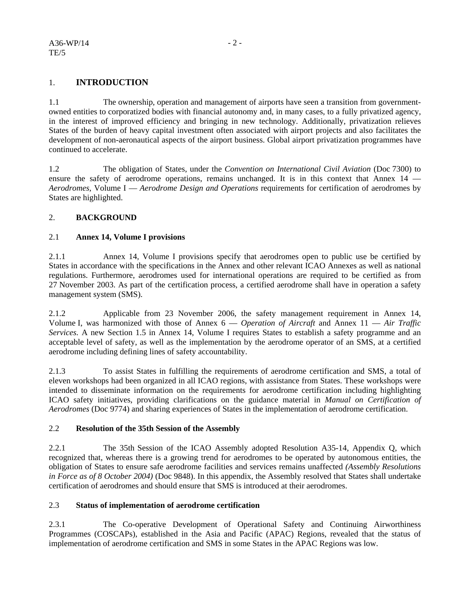# 1. **INTRODUCTION**

1.1 The ownership, operation and management of airports have seen a transition from governmentowned entities to corporatized bodies with financial autonomy and, in many cases, to a fully privatized agency, in the interest of improved efficiency and bringing in new technology. Additionally, privatization relieves States of the burden of heavy capital investment often associated with airport projects and also facilitates the development of non-aeronautical aspects of the airport business. Global airport privatization programmes have continued to accelerate.

1.2 The obligation of States, under the *Convention on International Civil Aviation* (Doc 7300) to ensure the safety of aerodrome operations, remains unchanged. It is in this context that Annex 14 — *Aerodromes,* Volume I — *Aerodrome Design and Operations* requirements for certification of aerodromes by States are highlighted.

## 2. **BACKGROUND**

#### 2.1 **Annex 14, Volume I provisions**

2.1.1 Annex 14*,* Volume I provisions specify that aerodromes open to public use be certified by States in accordance with the specifications in the Annex and other relevant ICAO Annexes as well as national regulations. Furthermore, aerodromes used for international operations are required to be certified as from 27 November 2003. As part of the certification process, a certified aerodrome shall have in operation a safety management system (SMS).

2.1.2 Applicable from 23 November 2006, the safety management requirement in Annex 14, Volume I, was harmonized with those of Annex 6 — *Operation of Aircraft* and Annex 11 — *Air Traffic Services.* A new Section 1.5 in Annex 14, Volume I requires States to establish a safety programme and an acceptable level of safety, as well as the implementation by the aerodrome operator of an SMS, at a certified aerodrome including defining lines of safety accountability.

2.1.3 To assist States in fulfilling the requirements of aerodrome certification and SMS, a total of eleven workshops had been organized in all ICAO regions, with assistance from States. These workshops were intended to disseminate information on the requirements for aerodrome certification including highlighting ICAO safety initiatives, providing clarifications on the guidance material in *Manual on Certification of Aerodromes* (Doc 9774) and sharing experiences of States in the implementation of aerodrome certification.

#### 2.2 **Resolution of the 35th Session of the Assembly**

2.2.1 The 35th Session of the ICAO Assembly adopted Resolution A35-14, Appendix Q, which recognized that, whereas there is a growing trend for aerodromes to be operated by autonomous entities, the obligation of States to ensure safe aerodrome facilities and services remains unaffected *(Assembly Resolutions in Force as of 8 October 2004)* (Doc 9848). In this appendix, the Assembly resolved that States shall undertake certification of aerodromes and should ensure that SMS is introduced at their aerodromes.

#### 2.3 **Status of implementation of aerodrome certification**

2.3.1 The Co-operative Development of Operational Safety and Continuing Airworthiness Programmes (COSCAPs), established in the Asia and Pacific (APAC) Regions, revealed that the status of implementation of aerodrome certification and SMS in some States in the APAC Regions was low.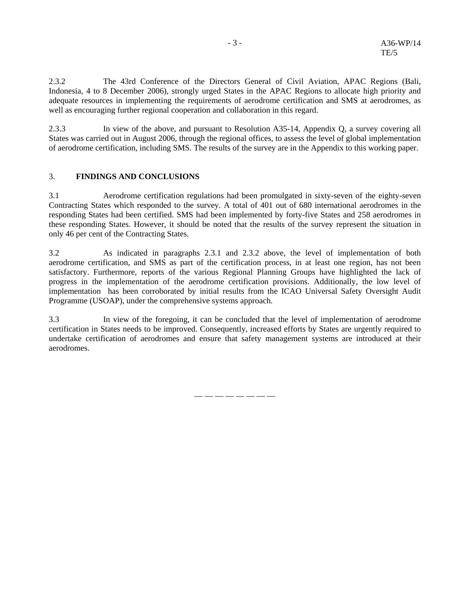2.3.2 The 43rd Conference of the Directors General of Civil Aviation, APAC Regions (Bali, Indonesia, 4 to 8 December 2006), strongly urged States in the APAC Regions to allocate high priority and adequate resources in implementing the requirements of aerodrome certification and SMS at aerodromes, as well as encouraging further regional cooperation and collaboration in this regard.

2.3.3 In view of the above, and pursuant to Resolution A35-14, Appendix Q, a survey covering all States was carried out in August 2006, through the regional offices, to assess the level of global implementation of aerodrome certification, including SMS. The results of the survey are in the Appendix to this working paper.

#### 3. **FINDINGS AND CONCLUSIONS**

3.1 Aerodrome certification regulations had been promulgated in sixty-seven of the eighty-seven Contracting States which responded to the survey. A total of 401 out of 680 international aerodromes in the responding States had been certified. SMS had been implemented by forty-five States and 258 aerodromes in these responding States. However, it should be noted that the results of the survey represent the situation in only 46 per cent of the Contracting States.

3.2 As indicated in paragraphs 2.3.1 and 2.3.2 above, the level of implementation of both aerodrome certification, and SMS as part of the certification process, in at least one region, has not been satisfactory. Furthermore, reports of the various Regional Planning Groups have highlighted the lack of progress in the implementation of the aerodrome certification provisions. Additionally, the low level of implementation has been corroborated by initial results from the ICAO Universal Safety Oversight Audit Programme (USOAP), under the comprehensive systems approach.

3.3 In view of the foregoing, it can be concluded that the level of implementation of aerodrome certification in States needs to be improved. Consequently, increased efforts by States are urgently required to undertake certification of aerodromes and ensure that safety management systems are introduced at their aerodromes.

— — — — — — — —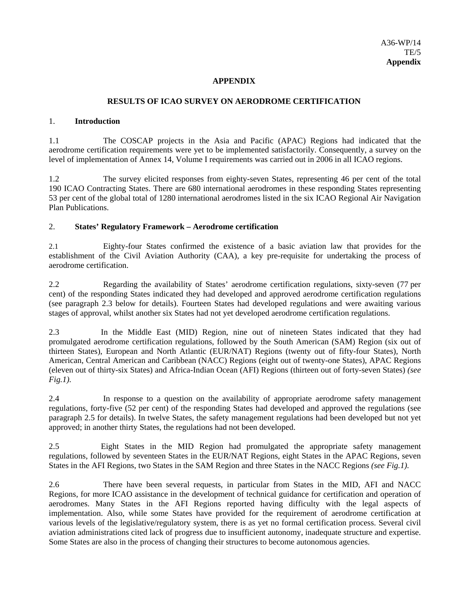#### **APPENDIX**

#### **RESULTS OF ICAO SURVEY ON AERODROME CERTIFICATION**

#### 1. **Introduction**

1.1 The COSCAP projects in the Asia and Pacific (APAC) Regions had indicated that the aerodrome certification requirements were yet to be implemented satisfactorily. Consequently, a survey on the level of implementation of Annex 14, Volume I requirements was carried out in 2006 in all ICAO regions.

1.2 The survey elicited responses from eighty-seven States, representing 46 per cent of the total 190 ICAO Contracting States. There are 680 international aerodromes in these responding States representing 53 per cent of the global total of 1280 international aerodromes listed in the six ICAO Regional Air Navigation Plan Publications.

#### 2. **States' Regulatory Framework – Aerodrome certification**

2.1 Eighty-four States confirmed the existence of a basic aviation law that provides for the establishment of the Civil Aviation Authority (CAA), a key pre-requisite for undertaking the process of aerodrome certification.

2.2 Regarding the availability of States' aerodrome certification regulations, sixty-seven (77 per cent) of the responding States indicated they had developed and approved aerodrome certification regulations (see paragraph 2.3 below for details). Fourteen States had developed regulations and were awaiting various stages of approval, whilst another six States had not yet developed aerodrome certification regulations.

2.3 In the Middle East (MID) Region, nine out of nineteen States indicated that they had promulgated aerodrome certification regulations, followed by the South American (SAM) Region (six out of thirteen States), European and North Atlantic (EUR/NAT) Regions (twenty out of fifty-four States), North American, Central American and Caribbean (NACC) Regions (eight out of twenty-one States), APAC Regions (eleven out of thirty-six States) and Africa-Indian Ocean (AFI) Regions (thirteen out of forty-seven States) *(see Fig.1).* 

2.4 In response to a question on the availability of appropriate aerodrome safety management regulations, forty-five (52 per cent) of the responding States had developed and approved the regulations (see paragraph 2.5 for details). In twelve States, the safety management regulations had been developed but not yet approved; in another thirty States, the regulations had not been developed.

2.5 Eight States in the MID Region had promulgated the appropriate safety management regulations, followed by seventeen States in the EUR/NAT Regions, eight States in the APAC Regions, seven States in the AFI Regions, two States in the SAM Region and three States in the NACC Regions *(see Fig.1).* 

2.6 There have been several requests, in particular from States in the MID, AFI and NACC Regions, for more ICAO assistance in the development of technical guidance for certification and operation of aerodromes. Many States in the AFI Regions reported having difficulty with the legal aspects of implementation. Also, while some States have provided for the requirement of aerodrome certification at various levels of the legislative/regulatory system, there is as yet no formal certification process. Several civil aviation administrations cited lack of progress due to insufficient autonomy, inadequate structure and expertise. Some States are also in the process of changing their structures to become autonomous agencies.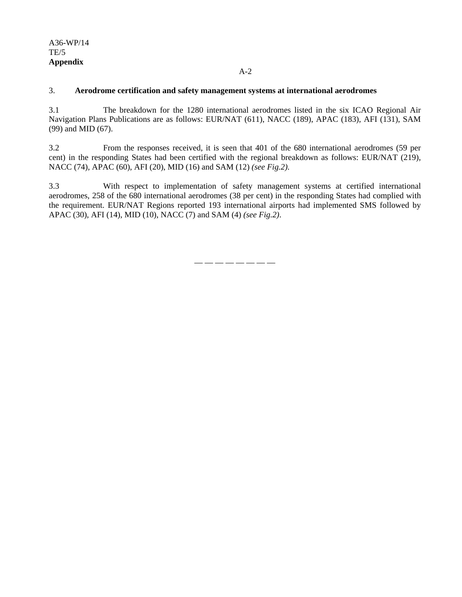## A36-WP/14 TE/5 **Appendix**

#### A-2

#### 3. **Aerodrome certification and safety management systems at international aerodromes**

3.1 The breakdown for the 1280 international aerodromes listed in the six ICAO Regional Air Navigation Plans Publications are as follows: EUR/NAT (611), NACC (189), APAC (183), AFI (131), SAM (99) and MID (67).

3.2 From the responses received, it is seen that 401 of the 680 international aerodromes (59 per cent) in the responding States had been certified with the regional breakdown as follows: EUR/NAT (219), NACC (74), APAC (60), AFI (20), MID (16) and SAM (12) *(see Fig.2).* 

3.3 With respect to implementation of safety management systems at certified international aerodromes, 258 of the 680 international aerodromes (38 per cent) in the responding States had complied with the requirement. EUR/NAT Regions reported 193 international airports had implemented SMS followed by APAC (30), AFI (14), MID (10), NACC (7) and SAM (4) *(see Fig.2)*.

— — — — — — — —